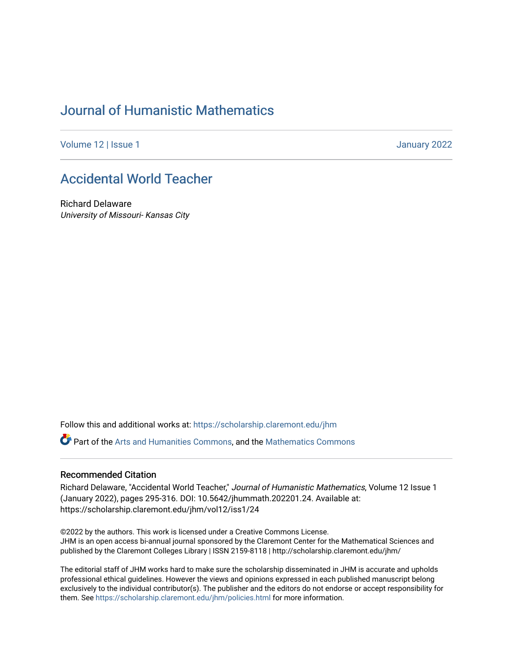## [Journal of Humanistic Mathematics](https://scholarship.claremont.edu/jhm)

[Volume 12](https://scholarship.claremont.edu/jhm/vol12) | Issue 1 January 2022

## [Accidental World Teacher](https://scholarship.claremont.edu/jhm/vol12/iss1/24)

Richard Delaware University of Missouri- Kansas City

Follow this and additional works at: [https://scholarship.claremont.edu/jhm](https://scholarship.claremont.edu/jhm?utm_source=scholarship.claremont.edu%2Fjhm%2Fvol12%2Fiss1%2F24&utm_medium=PDF&utm_campaign=PDFCoverPages)

Part of the [Arts and Humanities Commons,](http://network.bepress.com/hgg/discipline/438?utm_source=scholarship.claremont.edu%2Fjhm%2Fvol12%2Fiss1%2F24&utm_medium=PDF&utm_campaign=PDFCoverPages) and the [Mathematics Commons](http://network.bepress.com/hgg/discipline/174?utm_source=scholarship.claremont.edu%2Fjhm%2Fvol12%2Fiss1%2F24&utm_medium=PDF&utm_campaign=PDFCoverPages) 

#### Recommended Citation

Richard Delaware, "Accidental World Teacher," Journal of Humanistic Mathematics, Volume 12 Issue 1 (January 2022), pages 295-316. DOI: 10.5642/jhummath.202201.24. Available at: https://scholarship.claremont.edu/jhm/vol12/iss1/24

©2022 by the authors. This work is licensed under a Creative Commons License. JHM is an open access bi-annual journal sponsored by the Claremont Center for the Mathematical Sciences and published by the Claremont Colleges Library | ISSN 2159-8118 | http://scholarship.claremont.edu/jhm/

The editorial staff of JHM works hard to make sure the scholarship disseminated in JHM is accurate and upholds professional ethical guidelines. However the views and opinions expressed in each published manuscript belong exclusively to the individual contributor(s). The publisher and the editors do not endorse or accept responsibility for them. See<https://scholarship.claremont.edu/jhm/policies.html> for more information.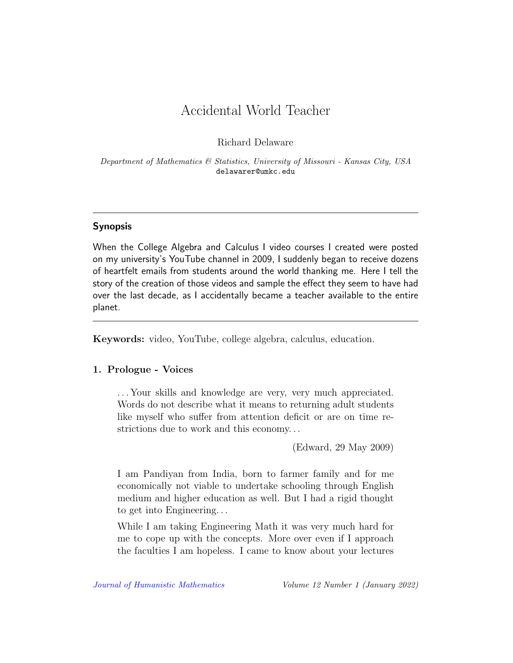# Accidental World Teacher

Richard Delaware

Department of Mathematics & Statistics, University of Missouri - Kansas City, USA delawarer@umkc.edu

## Synopsis

When the College Algebra and Calculus I video courses I created were posted on my university's YouTube channel in 2009, I suddenly began to receive dozens of heartfelt emails from students around the world thanking me. Here I tell the story of the creation of those videos and sample the effect they seem to have had over the last decade, as I accidentally became a teacher available to the entire planet.

Keywords: video, YouTube, college algebra, calculus, education.

## 1. Prologue - Voices

. . . Your skills and knowledge are very, very much appreciated. Words do not describe what it means to returning adult students like myself who suffer from attention deficit or are on time restrictions due to work and this economy. . .

(Edward, 29 May 2009)

I am Pandiyan from India, born to farmer family and for me economically not viable to undertake schooling through English medium and higher education as well. But I had a rigid thought to get into Engineering. . .

While I am taking Engineering Math it was very much hard for me to cope up with the concepts. More over even if I approach the faculties I am hopeless. I came to know about your lectures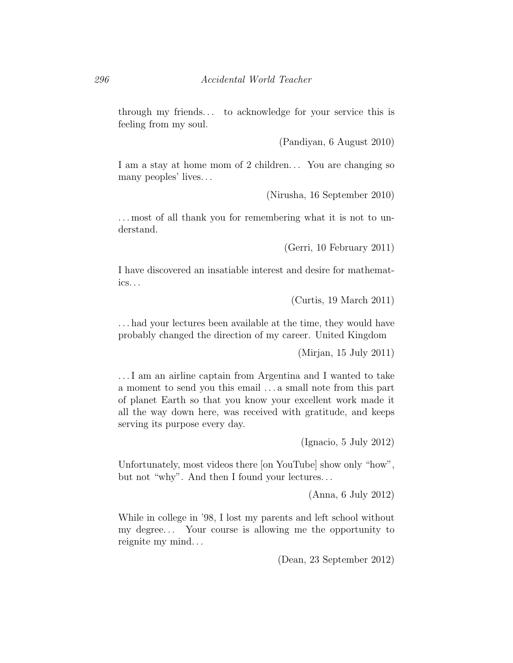through my friends. . . to acknowledge for your service this is feeling from my soul.

(Pandiyan, 6 August 2010)

I am a stay at home mom of 2 children... You are changing so many peoples' lives. . .

(Nirusha, 16 September 2010)

. . . most of all thank you for remembering what it is not to understand.

(Gerri, 10 February 2011)

I have discovered an insatiable interest and desire for mathematics. . .

(Curtis, 19 March 2011)

. . . had your lectures been available at the time, they would have probably changed the direction of my career. United Kingdom

(Mirjan, 15 July 2011)

. . . I am an airline captain from Argentina and I wanted to take a moment to send you this email . . . a small note from this part of planet Earth so that you know your excellent work made it all the way down here, was received with gratitude, and keeps serving its purpose every day.

(Ignacio, 5 July 2012)

Unfortunately, most videos there [on YouTube] show only "how", but not "why". And then I found your lectures. . .

(Anna, 6 July 2012)

While in college in '98, I lost my parents and left school without my degree. . . Your course is allowing me the opportunity to reignite my mind. . .

(Dean, 23 September 2012)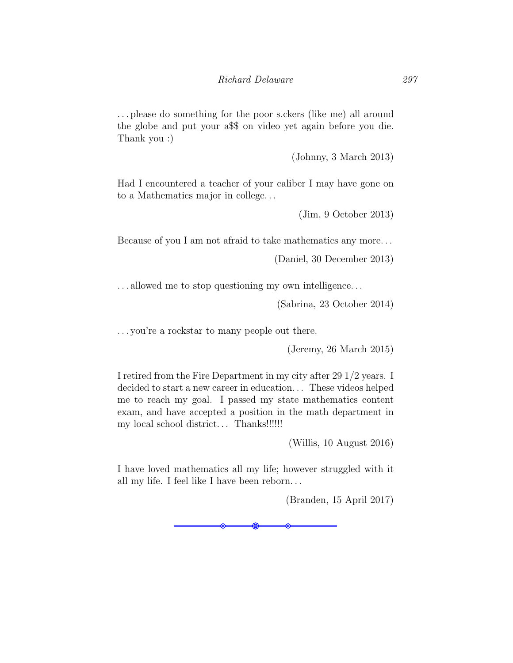. . . please do something for the poor s.ckers (like me) all around the globe and put your a\$\$ on video yet again before you die. Thank you :)

(Johnny, 3 March 2013)

Had I encountered a teacher of your caliber I may have gone on to a Mathematics major in college. . .

(Jim, 9 October 2013)

Because of you I am not afraid to take mathematics any more. . .

(Daniel, 30 December 2013)

. . . allowed me to stop questioning my own intelligence. . .

(Sabrina, 23 October 2014)

. . . you're a rockstar to many people out there.

(Jeremy, 26 March 2015)

I retired from the Fire Department in my city after 29 1/2 years. I decided to start a new career in education. . . These videos helped me to reach my goal. I passed my state mathematics content exam, and have accepted a position in the math department in my local school district. . . Thanks!!!!!!

(Willis, 10 August 2016)

I have loved mathematics all my life; however struggled with it all my life. I feel like I have been reborn. . .

(Branden, 15 April 2017)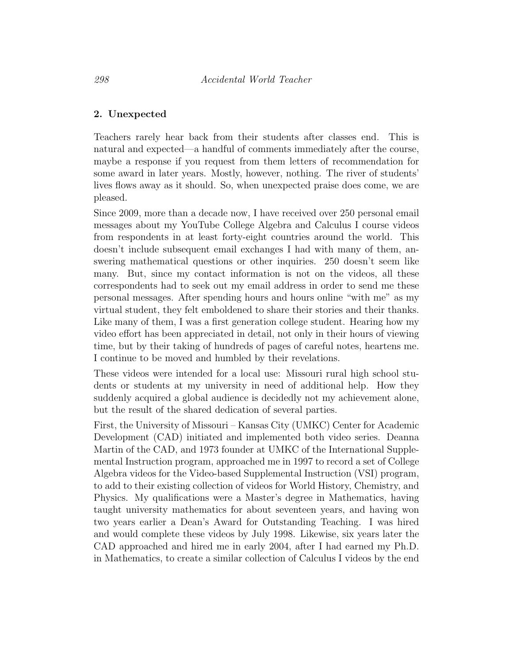### 2. Unexpected

Teachers rarely hear back from their students after classes end. This is natural and expected—a handful of comments immediately after the course, maybe a response if you request from them letters of recommendation for some award in later years. Mostly, however, nothing. The river of students' lives flows away as it should. So, when unexpected praise does come, we are pleased.

Since 2009, more than a decade now, I have received over 250 personal email messages about my YouTube College Algebra and Calculus I course videos from respondents in at least forty-eight countries around the world. This doesn't include subsequent email exchanges I had with many of them, answering mathematical questions or other inquiries. 250 doesn't seem like many. But, since my contact information is not on the videos, all these correspondents had to seek out my email address in order to send me these personal messages. After spending hours and hours online "with me" as my virtual student, they felt emboldened to share their stories and their thanks. Like many of them, I was a first generation college student. Hearing how my video effort has been appreciated in detail, not only in their hours of viewing time, but by their taking of hundreds of pages of careful notes, heartens me. I continue to be moved and humbled by their revelations.

These videos were intended for a local use: Missouri rural high school students or students at my university in need of additional help. How they suddenly acquired a global audience is decidedly not my achievement alone, but the result of the shared dedication of several parties.

First, the University of Missouri – Kansas City (UMKC) Center for Academic Development (CAD) initiated and implemented both video series. Deanna Martin of the CAD, and 1973 founder at UMKC of the International Supplemental Instruction program, approached me in 1997 to record a set of College Algebra videos for the Video-based Supplemental Instruction (VSI) program, to add to their existing collection of videos for World History, Chemistry, and Physics. My qualifications were a Master's degree in Mathematics, having taught university mathematics for about seventeen years, and having won two years earlier a Dean's Award for Outstanding Teaching. I was hired and would complete these videos by July 1998. Likewise, six years later the CAD approached and hired me in early 2004, after I had earned my Ph.D. in Mathematics, to create a similar collection of Calculus I videos by the end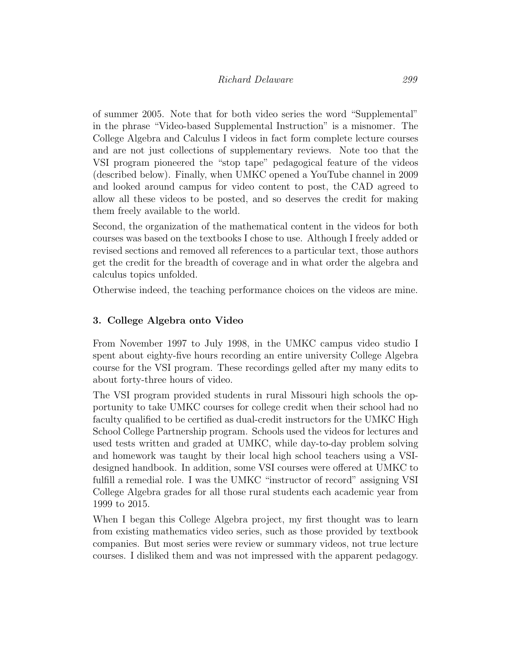of summer 2005. Note that for both video series the word "Supplemental" in the phrase "Video-based Supplemental Instruction" is a misnomer. The College Algebra and Calculus I videos in fact form complete lecture courses and are not just collections of supplementary reviews. Note too that the VSI program pioneered the "stop tape" pedagogical feature of the videos (described below). Finally, when UMKC opened a YouTube channel in 2009 and looked around campus for video content to post, the CAD agreed to allow all these videos to be posted, and so deserves the credit for making them freely available to the world.

Second, the organization of the mathematical content in the videos for both courses was based on the textbooks I chose to use. Although I freely added or revised sections and removed all references to a particular text, those authors get the credit for the breadth of coverage and in what order the algebra and calculus topics unfolded.

Otherwise indeed, the teaching performance choices on the videos are mine.

## 3. College Algebra onto Video

From November 1997 to July 1998, in the UMKC campus video studio I spent about eighty-five hours recording an entire university College Algebra course for the VSI program. These recordings gelled after my many edits to about forty-three hours of video.

The VSI program provided students in rural Missouri high schools the opportunity to take UMKC courses for college credit when their school had no faculty qualified to be certified as dual-credit instructors for the UMKC High School College Partnership program. Schools used the videos for lectures and used tests written and graded at UMKC, while day-to-day problem solving and homework was taught by their local high school teachers using a VSIdesigned handbook. In addition, some VSI courses were offered at UMKC to fulfill a remedial role. I was the UMKC "instructor of record" assigning VSI College Algebra grades for all those rural students each academic year from 1999 to 2015.

When I began this College Algebra project, my first thought was to learn from existing mathematics video series, such as those provided by textbook companies. But most series were review or summary videos, not true lecture courses. I disliked them and was not impressed with the apparent pedagogy.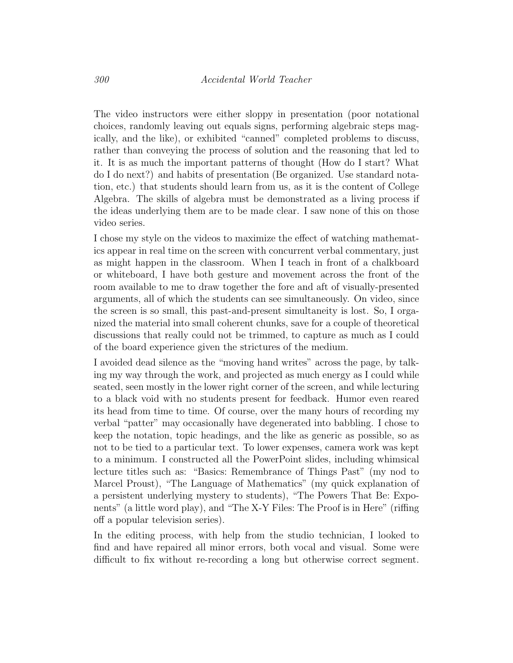The video instructors were either sloppy in presentation (poor notational choices, randomly leaving out equals signs, performing algebraic steps magically, and the like), or exhibited "canned" completed problems to discuss, rather than conveying the process of solution and the reasoning that led to it. It is as much the important patterns of thought (How do I start? What do I do next?) and habits of presentation (Be organized. Use standard notation, etc.) that students should learn from us, as it is the content of College Algebra. The skills of algebra must be demonstrated as a living process if the ideas underlying them are to be made clear. I saw none of this on those video series.

I chose my style on the videos to maximize the effect of watching mathematics appear in real time on the screen with concurrent verbal commentary, just as might happen in the classroom. When I teach in front of a chalkboard or whiteboard, I have both gesture and movement across the front of the room available to me to draw together the fore and aft of visually-presented arguments, all of which the students can see simultaneously. On video, since the screen is so small, this past-and-present simultaneity is lost. So, I organized the material into small coherent chunks, save for a couple of theoretical discussions that really could not be trimmed, to capture as much as I could of the board experience given the strictures of the medium.

I avoided dead silence as the "moving hand writes" across the page, by talking my way through the work, and projected as much energy as I could while seated, seen mostly in the lower right corner of the screen, and while lecturing to a black void with no students present for feedback. Humor even reared its head from time to time. Of course, over the many hours of recording my verbal "patter" may occasionally have degenerated into babbling. I chose to keep the notation, topic headings, and the like as generic as possible, so as not to be tied to a particular text. To lower expenses, camera work was kept to a minimum. I constructed all the PowerPoint slides, including whimsical lecture titles such as: "Basics: Remembrance of Things Past" (my nod to Marcel Proust), "The Language of Mathematics" (my quick explanation of a persistent underlying mystery to students), "The Powers That Be: Exponents" (a little word play), and "The X-Y Files: The Proof is in Here" (riffing off a popular television series).

In the editing process, with help from the studio technician, I looked to find and have repaired all minor errors, both vocal and visual. Some were difficult to fix without re-recording a long but otherwise correct segment.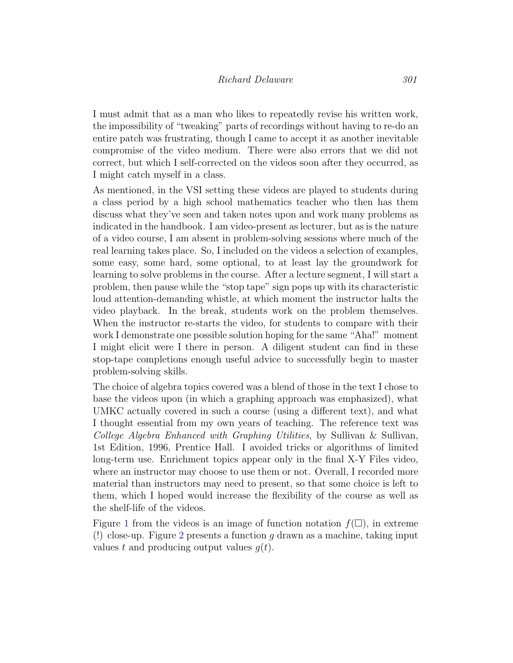I must admit that as a man who likes to repeatedly revise his written work, the impossibility of "tweaking" parts of recordings without having to re-do an entire patch was frustrating, though I came to accept it as another inevitable compromise of the video medium. There were also errors that we did not correct, but which I self-corrected on the videos soon after they occurred, as I might catch myself in a class.

As mentioned, in the VSI setting these videos are played to students during a class period by a high school mathematics teacher who then has them discuss what they've seen and taken notes upon and work many problems as indicated in the handbook. I am video-present as lecturer, but as is the nature of a video course, I am absent in problem-solving sessions where much of the real learning takes place. So, I included on the videos a selection of examples, some easy, some hard, some optional, to at least lay the groundwork for learning to solve problems in the course. After a lecture segment, I will start a problem, then pause while the "stop tape" sign pops up with its characteristic loud attention-demanding whistle, at which moment the instructor halts the video playback. In the break, students work on the problem themselves. When the instructor re-starts the video, for students to compare with their work I demonstrate one possible solution hoping for the same "Aha!" moment I might elicit were I there in person. A diligent student can find in these stop-tape completions enough useful advice to successfully begin to master problem-solving skills.

The choice of algebra topics covered was a blend of those in the text I chose to base the videos upon (in which a graphing approach was emphasized), what UMKC actually covered in such a course (using a different text), and what I thought essential from my own years of teaching. The reference text was College Algebra Enhanced with Graphing Utilities, by Sullivan & Sullivan, 1st Edition, 1996, Prentice Hall. I avoided tricks or algorithms of limited long-term use. Enrichment topics appear only in the final X-Y Files video, where an instructor may choose to use them or not. Overall, I recorded more material than instructors may need to present, so that some choice is left to them, which I hoped would increase the flexibility of the course as well as the shelf-life of the videos.

Figure [1](#page-8-0) from the videos is an image of function notation  $f(\Box)$ , in extreme (!) close-up. Figure [2](#page-8-1) presents a function  $g$  drawn as a machine, taking input values t and producing output values  $q(t)$ .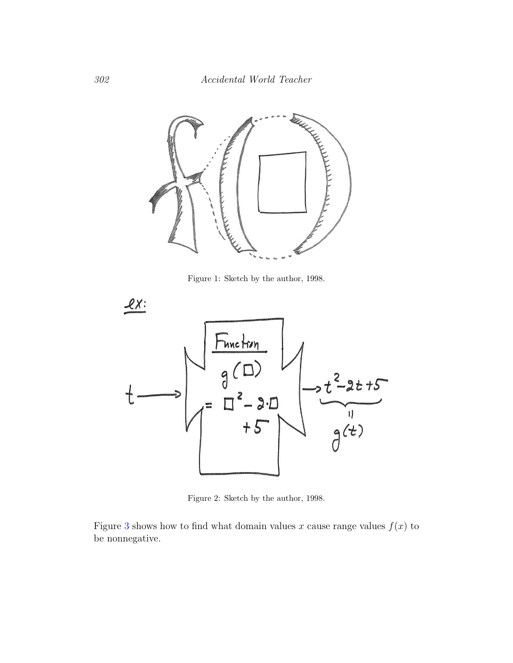

<span id="page-8-0"></span>Figure 1: Sketch by the author, 1998.



<span id="page-8-1"></span>Figure 2: Sketch by the author, 1998.

Figure [3](#page-9-0) shows how to find what domain values x cause range values  $f(x)$  to be nonnegative.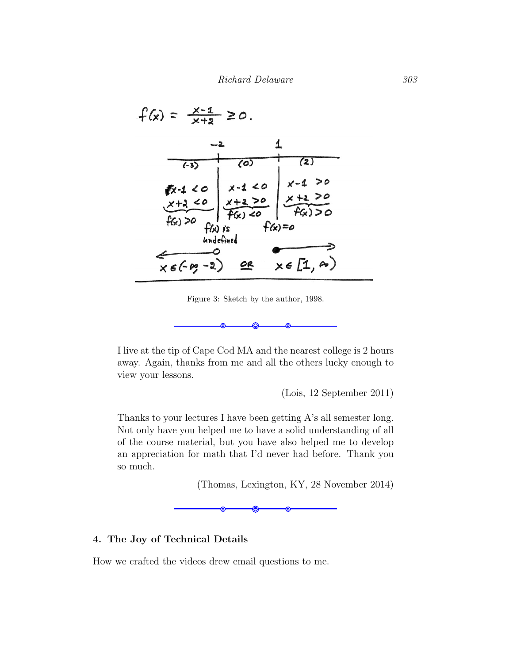

Figure 3: Sketch by the author, 1998.

I live at the tip of Cape Cod MA and the nearest college is 2 hours away. Again, thanks from me and all the others lucky enough to view your lessons.

<span id="page-9-0"></span>(Lois, 12 September 2011)

Thanks to your lectures I have been getting A's all semester long. Not only have you helped me to have a solid understanding of all of the course material, but you have also helped me to develop an appreciation for math that I'd never had before. Thank you so much.

(Thomas, Lexington, KY, 28 November 2014)

## 4. The Joy of Technical Details

How we crafted the videos drew email questions to me.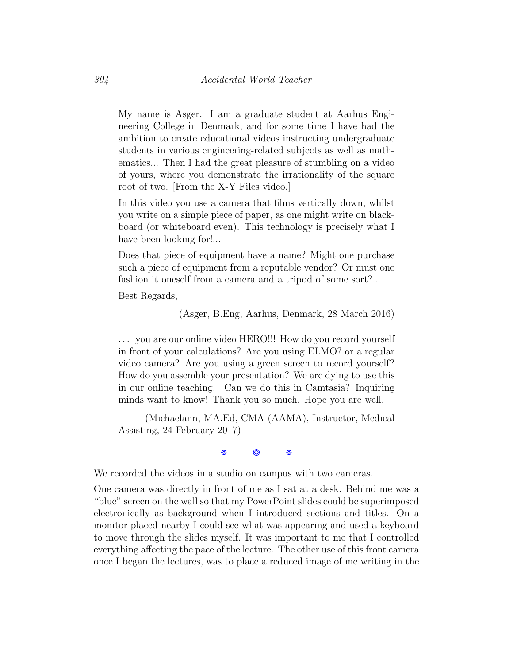My name is Asger. I am a graduate student at Aarhus Engineering College in Denmark, and for some time I have had the ambition to create educational videos instructing undergraduate students in various engineering-related subjects as well as mathematics... Then I had the great pleasure of stumbling on a video of yours, where you demonstrate the irrationality of the square root of two. [From the X-Y Files video.]

In this video you use a camera that films vertically down, whilst you write on a simple piece of paper, as one might write on blackboard (or whiteboard even). This technology is precisely what I have been looking for...

Does that piece of equipment have a name? Might one purchase such a piece of equipment from a reputable vendor? Or must one fashion it oneself from a camera and a tripod of some sort?...

Best Regards,

(Asger, B.Eng, Aarhus, Denmark, 28 March 2016)

... you are our online video HERO!!! How do you record yourself in front of your calculations? Are you using ELMO? or a regular video camera? Are you using a green screen to record yourself? How do you assemble your presentation? We are dying to use this in our online teaching. Can we do this in Camtasia? Inquiring minds want to know! Thank you so much. Hope you are well.

(Michaelann, MA.Ed, CMA (AAMA), Instructor, Medical Assisting, 24 February 2017)



We recorded the videos in a studio on campus with two cameras.

One camera was directly in front of me as I sat at a desk. Behind me was a "blue" screen on the wall so that my PowerPoint slides could be superimposed electronically as background when I introduced sections and titles. On a monitor placed nearby I could see what was appearing and used a keyboard to move through the slides myself. It was important to me that I controlled everything affecting the pace of the lecture. The other use of this front camera once I began the lectures, was to place a reduced image of me writing in the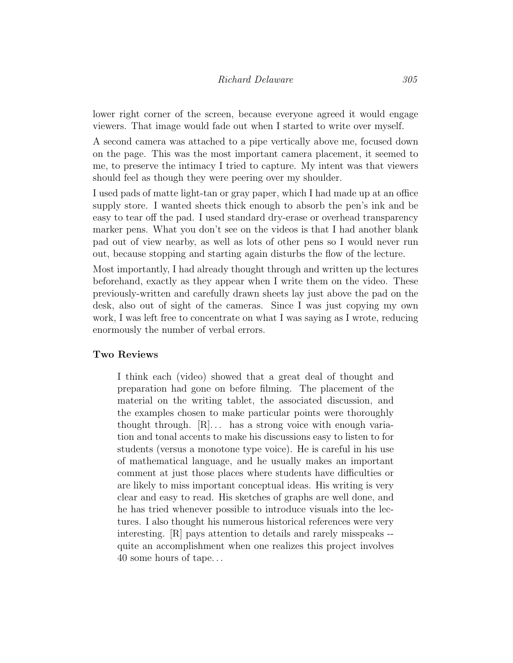lower right corner of the screen, because everyone agreed it would engage viewers. That image would fade out when I started to write over myself.

A second camera was attached to a pipe vertically above me, focused down on the page. This was the most important camera placement, it seemed to me, to preserve the intimacy I tried to capture. My intent was that viewers should feel as though they were peering over my shoulder.

I used pads of matte light-tan or gray paper, which I had made up at an office supply store. I wanted sheets thick enough to absorb the pen's ink and be easy to tear off the pad. I used standard dry-erase or overhead transparency marker pens. What you don't see on the videos is that I had another blank pad out of view nearby, as well as lots of other pens so I would never run out, because stopping and starting again disturbs the flow of the lecture.

Most importantly, I had already thought through and written up the lectures beforehand, exactly as they appear when I write them on the video. These previously-written and carefully drawn sheets lay just above the pad on the desk, also out of sight of the cameras. Since I was just copying my own work, I was left free to concentrate on what I was saying as I wrote, reducing enormously the number of verbal errors.

### Two Reviews

I think each (video) showed that a great deal of thought and preparation had gone on before filming. The placement of the material on the writing tablet, the associated discussion, and the examples chosen to make particular points were thoroughly thought through.  $[R]$ ... has a strong voice with enough variation and tonal accents to make his discussions easy to listen to for students (versus a monotone type voice). He is careful in his use of mathematical language, and he usually makes an important comment at just those places where students have difficulties or are likely to miss important conceptual ideas. His writing is very clear and easy to read. His sketches of graphs are well done, and he has tried whenever possible to introduce visuals into the lectures. I also thought his numerous historical references were very interesting. [R] pays attention to details and rarely misspeaks - quite an accomplishment when one realizes this project involves 40 some hours of tape. . .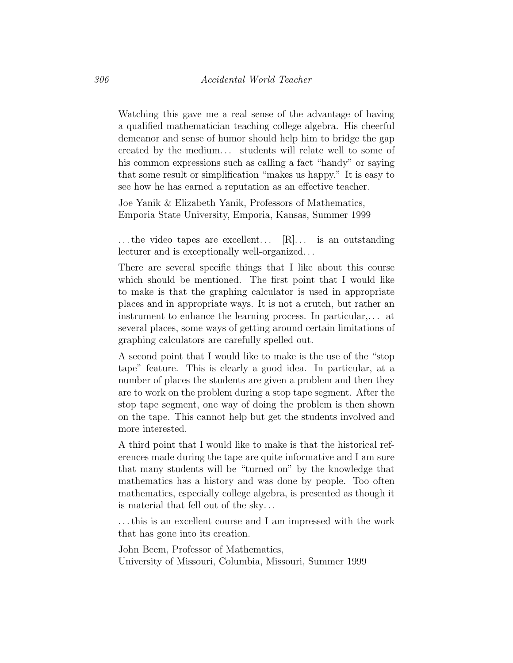Watching this gave me a real sense of the advantage of having a qualified mathematician teaching college algebra. His cheerful demeanor and sense of humor should help him to bridge the gap created by the medium. . . students will relate well to some of his common expressions such as calling a fact "handy" or saying that some result or simplification "makes us happy." It is easy to see how he has earned a reputation as an effective teacher.

Joe Yanik & Elizabeth Yanik, Professors of Mathematics, Emporia State University, Emporia, Kansas, Summer 1999

 $\dots$  the video tapes are excellent...  $[R] \dots$  is an outstanding lecturer and is exceptionally well-organized. . .

There are several specific things that I like about this course which should be mentioned. The first point that I would like to make is that the graphing calculator is used in appropriate places and in appropriate ways. It is not a crutch, but rather an instrument to enhance the learning process. In particular,. . . at several places, some ways of getting around certain limitations of graphing calculators are carefully spelled out.

A second point that I would like to make is the use of the "stop tape" feature. This is clearly a good idea. In particular, at a number of places the students are given a problem and then they are to work on the problem during a stop tape segment. After the stop tape segment, one way of doing the problem is then shown on the tape. This cannot help but get the students involved and more interested.

A third point that I would like to make is that the historical references made during the tape are quite informative and I am sure that many students will be "turned on" by the knowledge that mathematics has a history and was done by people. Too often mathematics, especially college algebra, is presented as though it is material that fell out of the sky. . .

. . . this is an excellent course and I am impressed with the work that has gone into its creation.

John Beem, Professor of Mathematics, University of Missouri, Columbia, Missouri, Summer 1999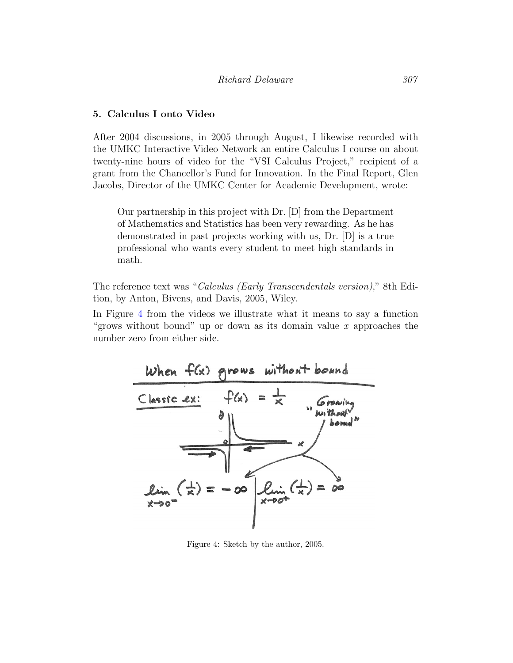#### 5. Calculus I onto Video

After 2004 discussions, in 2005 through August, I likewise recorded with the UMKC Interactive Video Network an entire Calculus I course on about twenty-nine hours of video for the "VSI Calculus Project," recipient of a grant from the Chancellor's Fund for Innovation. In the Final Report, Glen Jacobs, Director of the UMKC Center for Academic Development, wrote:

Our partnership in this project with Dr. [D] from the Department of Mathematics and Statistics has been very rewarding. As he has demonstrated in past projects working with us, Dr. [D] is a true professional who wants every student to meet high standards in math.

The reference text was "Calculus (Early Transcendentals version)," 8th Edition, by Anton, Bivens, and Davis, 2005, Wiley.

In Figure [4](#page-13-0) from the videos we illustrate what it means to say a function "grows without bound" up or down as its domain value x approaches the number zero from either side.



<span id="page-13-0"></span>Figure 4: Sketch by the author, 2005.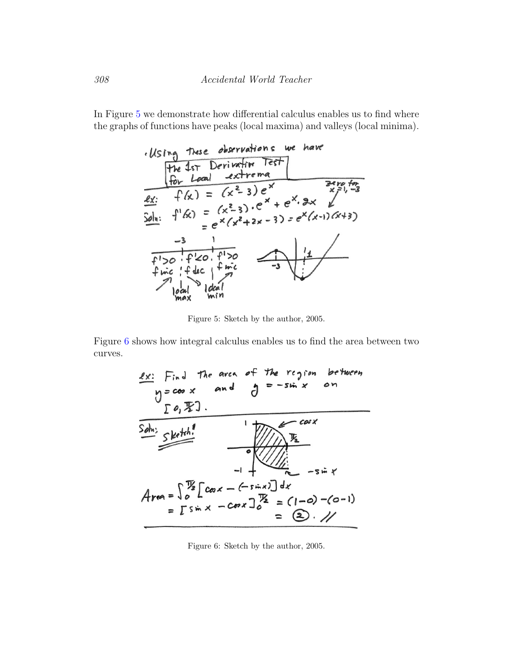In Figure [5](#page-14-0) we demonstrate how differential calculus enables us to find where the graphs of functions have peaks (local maxima) and valleys (local minima).



<span id="page-14-0"></span>Figure 5: Sketch by the author, 2005.

Figure [6](#page-14-1) shows how integral calculus enables us to find the area between two curves.



<span id="page-14-1"></span>Figure 6: Sketch by the author, 2005.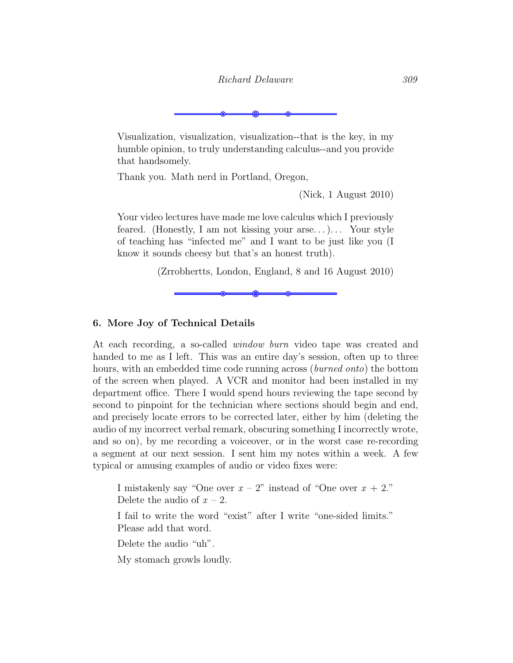Visualization, visualization, visualization--that is the key, in my humble opinion, to truly understanding calculus--and you provide that handsomely.

Thank you. Math nerd in Portland, Oregon,

(Nick, 1 August 2010)

Your video lectures have made me love calculus which I previously feared. (Honestly, I am not kissing your arse...)... Your style of teaching has "infected me" and I want to be just like you (I know it sounds cheesy but that's an honest truth).

(Zrrobhertts, London, England, 8 and 16 August 2010)

### 6. More Joy of Technical Details

At each recording, a so-called window burn video tape was created and handed to me as I left. This was an entire day's session, often up to three hours, with an embedded time code running across (*burned onto*) the bottom of the screen when played. A VCR and monitor had been installed in my department office. There I would spend hours reviewing the tape second by second to pinpoint for the technician where sections should begin and end, and precisely locate errors to be corrected later, either by him (deleting the audio of my incorrect verbal remark, obscuring something I incorrectly wrote, and so on), by me recording a voiceover, or in the worst case re-recording a segment at our next session. I sent him my notes within a week. A few typical or amusing examples of audio or video fixes were:

I mistakenly say "One over  $x - 2$ " instead of "One over  $x + 2$ ." Delete the audio of  $x - 2$ . I fail to write the word "exist" after I write "one-sided limits." Please add that word.

Delete the audio "uh".

My stomach growls loudly.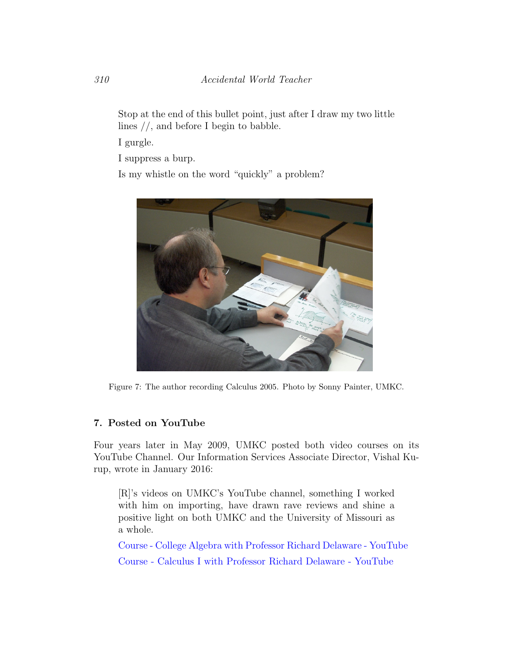Stop at the end of this bullet point, just after I draw my two little lines //, and before I begin to babble.

I gurgle.

I suppress a burp.

Is my whistle on the word "quickly" a problem?



Figure 7: The author recording Calculus 2005. Photo by Sonny Painter, UMKC.

## 7. Posted on YouTube

Four years later in May 2009, UMKC posted both video courses on its YouTube Channel. Our Information Services Associate Director, Vishal Kurup, wrote in January 2016:

[R]'s videos on UMKC's YouTube channel, something I worked with him on importing, have drawn rave reviews and shine a positive light on both UMKC and the University of Missouri as a whole.

[Course - College Algebra with Professor Richard Delaware - YouTube](https://www.youtube.com/playlist?list=PLDE28CF08BD313B2A) [Course - Calculus I with Professor Richard Delaware - YouTube](https://www.youtube.com/playlist?list=PLF5E22224459D23D9)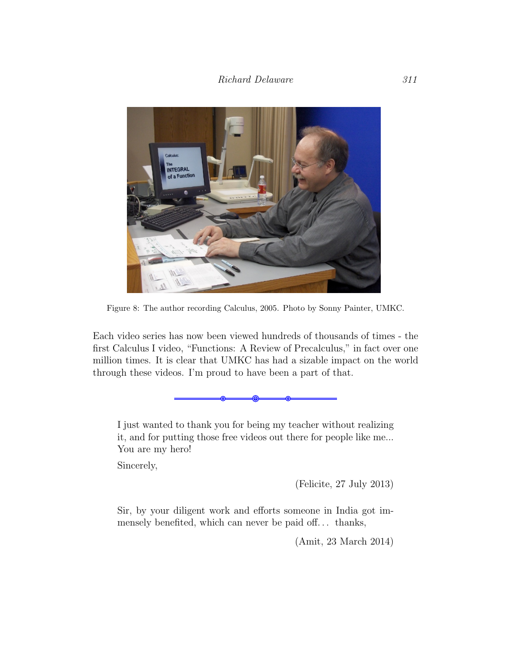

Figure 8: The author recording Calculus, 2005. Photo by Sonny Painter, UMKC.

Each video series has now been viewed hundreds of thousands of times - the first Calculus I video, "Functions: A Review of Precalculus," in fact over one million times. It is clear that UMKC has had a sizable impact on the world through these videos. I'm proud to have been a part of that.

I just wanted to thank you for being my teacher without realizing it, and for putting those free videos out there for people like me... You are my hero!

Sincerely,

(Felicite, 27 July 2013)

Sir, by your diligent work and efforts someone in India got immensely benefited, which can never be paid off. . . thanks,

(Amit, 23 March 2014)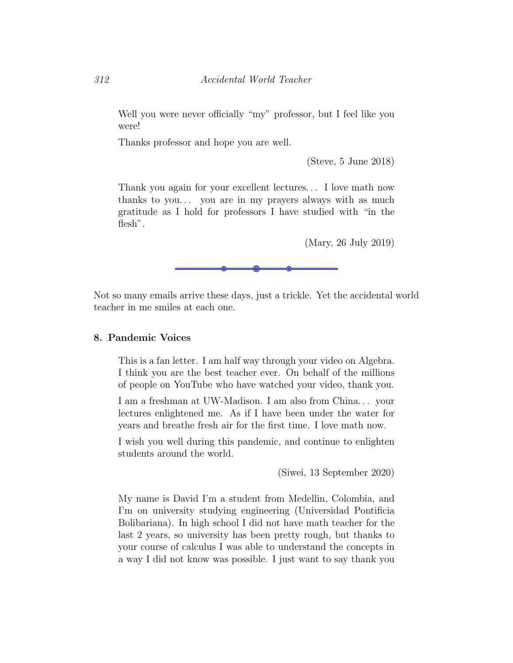Well you were never officially "my" professor, but I feel like you were!

Thanks professor and hope you are well.

(Steve, 5 June 2018)

Thank you again for your excellent lectures. . . I love math now thanks to you... you are in my prayers always with as much gratitude as I hold for professors I have studied with "in the flesh".

(Mary, 26 July 2019)

Not so many emails arrive these days, just a trickle. Yet the accidental world teacher in me smiles at each one.

#### 8. Pandemic Voices

This is a fan letter. I am half way through your video on Algebra. I think you are the best teacher ever. On behalf of the millions of people on YouTube who have watched your video, thank you.

I am a freshman at UW-Madison. I am also from China. . . your lectures enlightened me. As if I have been under the water for years and breathe fresh air for the first time. I love math now.

I wish you well during this pandemic, and continue to enlighten students around the world.

(Siwei, 13 September 2020)

My name is David I'm a student from Medellin, Colombia, and I'm on university studying engineering (Universidad Pontificia Bolibariana). In high school I did not have math teacher for the last 2 years, so university has been pretty rough, but thanks to your course of calculus I was able to understand the concepts in a way I did not know was possible. I just want to say thank you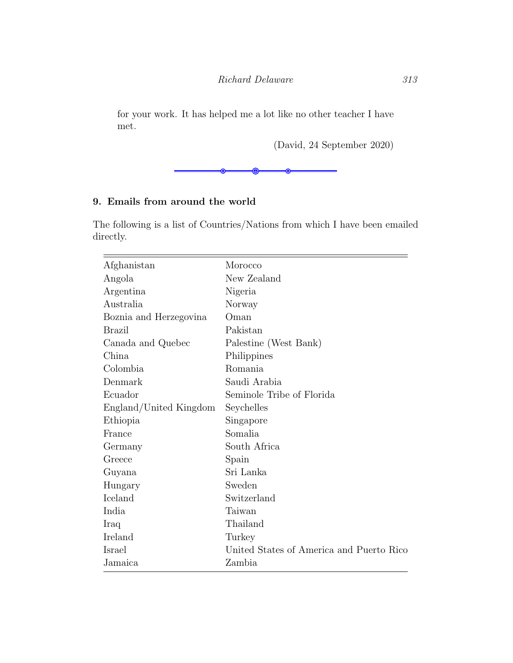for your work. It has helped me a lot like no other teacher I have met.

(David, 24 September 2020)



## 9. Emails from around the world

The following is a list of Countries/Nations from which I have been emailed directly.

| Afghanistan            | Morocco                                  |
|------------------------|------------------------------------------|
| Angola                 | New Zealand                              |
| Argentina              | Nigeria                                  |
| Australia              | Norway                                   |
| Boznia and Herzegovina | Oman                                     |
| Brazil                 | Pakistan                                 |
| Canada and Quebec      | Palestine (West Bank)                    |
| China                  | Philippines                              |
| Colombia               | Romania                                  |
| Denmark                | Saudi Arabia                             |
| Ecuador                | Seminole Tribe of Florida                |
| England/United Kingdom | Seychelles                               |
| Ethiopia               | Singapore                                |
| France                 | Somalia                                  |
| Germany                | South Africa                             |
| Greece                 | Spain                                    |
| Guyana                 | Sri Lanka                                |
| Hungary                | Sweden                                   |
| Iceland                | Switzerland                              |
| India                  | Taiwan                                   |
| Iraq                   | Thailand                                 |
| Ireland                | Turkey                                   |
| Israel                 | United States of America and Puerto Rico |
| Jamaica                | Zambia                                   |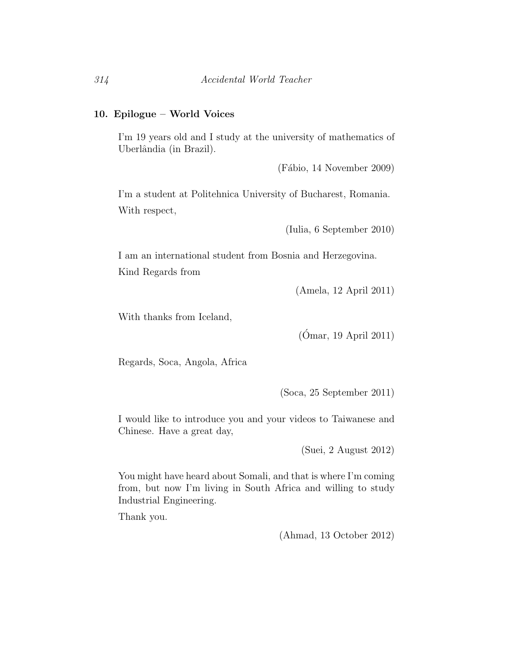### 10. Epilogue – World Voices

I'm 19 years old and I study at the university of mathematics of Uberlândia (in Brazil).

 $(Fábio, 14 November 2009)$ 

I'm a student at Politehnica University of Bucharest, Romania. With respect,

(Iulia, 6 September 2010)

I am an international student from Bosnia and Herzegovina. Kind Regards from

(Amela, 12 April 2011)

With thanks from Iceland,

 $(Ómar, 19 April 2011)$ 

Regards, Soca, Angola, Africa

(Soca, 25 September 2011)

I would like to introduce you and your videos to Taiwanese and Chinese. Have a great day,

(Suei, 2 August 2012)

You might have heard about Somali, and that is where I'm coming from, but now I'm living in South Africa and willing to study Industrial Engineering.

Thank you.

(Ahmad, 13 October 2012)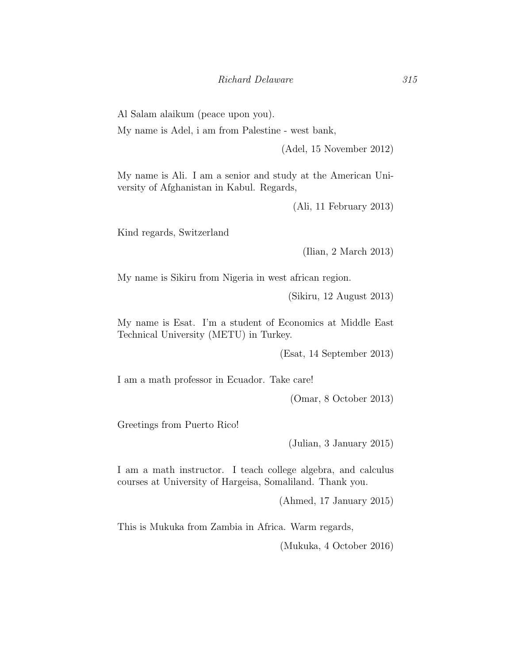Al Salam alaikum (peace upon you).

My name is Adel, i am from Palestine - west bank,

(Adel, 15 November 2012)

My name is Ali. I am a senior and study at the American University of Afghanistan in Kabul. Regards,

(Ali, 11 February 2013)

Kind regards, Switzerland

(Ilian, 2 March 2013)

My name is Sikiru from Nigeria in west african region.

(Sikiru, 12 August 2013)

My name is Esat. I'm a student of Economics at Middle East Technical University (METU) in Turkey.

(Esat, 14 September 2013)

I am a math professor in Ecuador. Take care!

(Omar, 8 October 2013)

Greetings from Puerto Rico!

(Julian, 3 January 2015)

I am a math instructor. I teach college algebra, and calculus courses at University of Hargeisa, Somaliland. Thank you.

(Ahmed, 17 January 2015)

This is Mukuka from Zambia in Africa. Warm regards,

(Mukuka, 4 October 2016)